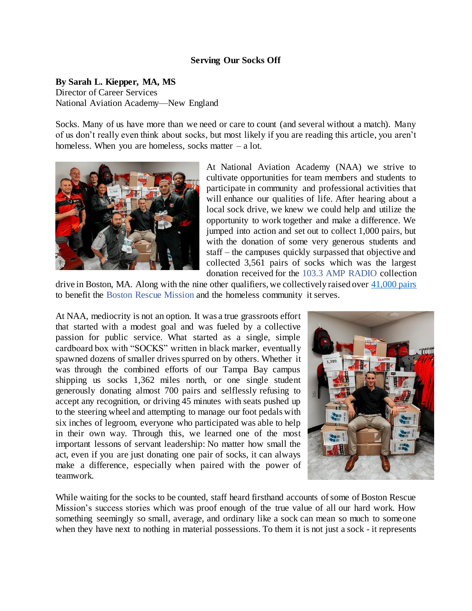## **Serving Our Socks Off**

**By Sarah L. Kiepper, MA, MS**

Director of Career Services National Aviation Academy—New England

Socks. Many of us have more than we need or care to count (and several without a match). Many of us don't really even think about socks, but most likely if you are reading this article, you aren't homeless. When you are homeless, socks matter  $-$  a lot.



At National Aviation Academy (NAA) we strive to cultivate opportunities for team members and students to participate in community and professional activities that will enhance our qualities of life. After hearing about a local sock drive, we knew we could help and utilize the opportunity to work together and make a difference. We jumped into action and set out to collect 1,000 pairs, but with the donation of some very generous students and staff – the campuses quickly surpassed that objective and collected 3,561 pairs of socks which was the largest donation received for the 103.3 AMP RADIO collection

drive in Boston, MA. Along with the nine other qualifiers, we collectively raised over [41,000 pairs](https://www.brm.org/post/massive-outpouring-of-caring-reaches-homeless-guests) to benefit the Boston Rescue Mission and the homeless community it serves.

At NAA, mediocrity is not an option. It was a true grassroots effort that started with a modest goal and was fueled by a collective passion for public service. What started as a single, simple cardboard box with "SOCKS" written in black marker, eventually spawned dozens of smaller drives spurred on by others. Whether it was through the combined efforts of our Tampa Bay campus shipping us socks 1,362 miles north, or one single student generously donating almost 700 pairs and selflessly refusing to accept any recognition, or driving 45 minutes with seats pushed up to the steering wheel and attempting to manage our foot pedals with six inches of legroom, everyone who participated was able to help in their own way. Through this, we learned one of the most important lessons of servant leadership: No matter how small the act, even if you are just donating one pair of socks, it can always make a difference, especially when paired with the power of teamwork.



While waiting for the socks to be counted, staff heard firsthand accounts of some of Boston Rescue Mission's success stories which was proof enough of the true value of all our hard work. How something seemingly so small, average, and ordinary like a sock can mean so much to someone when they have next to nothing in material possessions. To them it is not just a sock - it represents